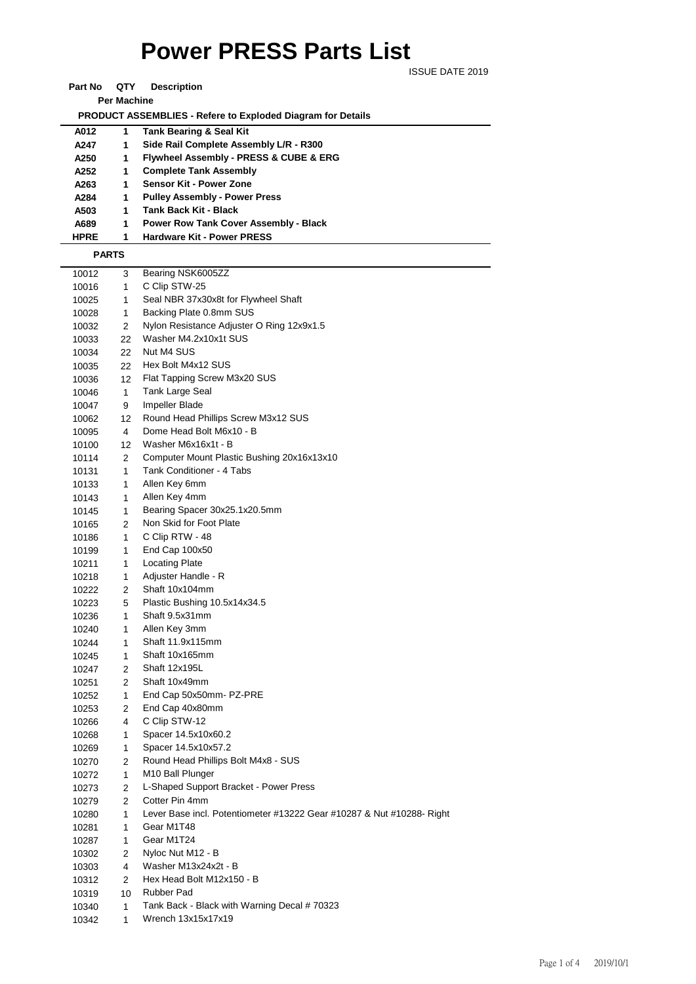## **Power PRESS Parts List**

ISSUE DATE 2019

**Part No QTY Description Per Machine**

 **PRODUCT ASSEMBLIES - Refere to Exploded Diagram for Details** 

| A012         | 1. | Tank Bearing & Seal Kit                      |
|--------------|----|----------------------------------------------|
| A247         | 1  | Side Rail Complete Assembly L/R - R300       |
| A250         | 1  | Flywheel Assembly - PRESS & CUBE & ERG       |
| A252         | 1  | <b>Complete Tank Assembly</b>                |
| A263         | 1  | <b>Sensor Kit - Power Zone</b>               |
| A284         | 1  | <b>Pulley Assembly - Power Press</b>         |
| A503         | 1  | Tank Back Kit - Black                        |
| A689         | 1  | <b>Power Row Tank Cover Assembly - Black</b> |
| <b>HPRE</b>  | 1  | <b>Hardware Kit - Power PRESS</b>            |
| <b>PARTS</b> |    |                                              |
|              |    |                                              |

| 10012 | 3              | Bearing NSK6005ZZ                                                     |
|-------|----------------|-----------------------------------------------------------------------|
| 10016 | 1              | C Clip STW-25                                                         |
| 10025 | 1              | Seal NBR 37x30x8t for Flywheel Shaft                                  |
| 10028 | 1              | Backing Plate 0.8mm SUS                                               |
| 10032 | 2              | Nylon Resistance Adjuster O Ring 12x9x1.5                             |
| 10033 | 22             | Washer M4.2x10x1t SUS                                                 |
| 10034 | 22             | Nut M4 SUS                                                            |
| 10035 | 22             | Hex Bolt M4x12 SUS                                                    |
| 10036 | 12             | Flat Tapping Screw M3x20 SUS                                          |
| 10046 | 1              | Tank Large Seal                                                       |
| 10047 | 9              | Impeller Blade                                                        |
| 10062 | 12             | Round Head Phillips Screw M3x12 SUS                                   |
| 10095 | 4              | Dome Head Bolt M6x10 - B                                              |
| 10100 | 12             | Washer M6x16x1t - B                                                   |
| 10114 | 2              | Computer Mount Plastic Bushing 20x16x13x10                            |
| 10131 | 1              | Tank Conditioner - 4 Tabs                                             |
| 10133 | 1              | Allen Key 6mm                                                         |
| 10143 | 1              | Allen Key 4mm                                                         |
| 10145 | 1              | Bearing Spacer 30x25.1x20.5mm                                         |
| 10165 | 2              | Non Skid for Foot Plate                                               |
| 10186 | 1              | C Clip RTW - 48                                                       |
| 10199 | 1              | End Cap 100x50                                                        |
| 10211 | 1              | <b>Locating Plate</b>                                                 |
| 10218 | 1              | Adjuster Handle - R                                                   |
| 10222 | 2              | Shaft 10x104mm                                                        |
| 10223 | 5              | Plastic Bushing 10.5x14x34.5                                          |
| 10236 | 1              | Shaft 9.5x31mm                                                        |
| 10240 | 1              | Allen Key 3mm                                                         |
| 10244 | 1              | Shaft 11.9x115mm                                                      |
| 10245 | 1              | Shaft 10x165mm                                                        |
| 10247 | $\overline{2}$ | Shaft 12x195L                                                         |
| 10251 | 2              | Shaft 10x49mm                                                         |
| 10252 | 1              | End Cap 50x50mm- PZ-PRE                                               |
| 10253 | 2              | End Cap 40x80mm                                                       |
| 10266 | 4              | C Clip STW-12                                                         |
| 10268 | 1              | Spacer 14.5x10x60.2                                                   |
| 10269 | 1              | Spacer 14.5x10x57.2                                                   |
| 10270 | 2              | Round Head Phillips Bolt M4x8 - SUS                                   |
| 10272 | 1              | M <sub>10</sub> Ball Plunger                                          |
| 10273 | 2              | L-Shaped Support Bracket - Power Press                                |
| 10279 | 2              | Cotter Pin 4mm                                                        |
| 10280 | 1              | Lever Base incl. Potentiometer #13222 Gear #10287 & Nut #10288- Right |
| 10281 | 1              | Gear M1T48                                                            |
| 10287 | 1              | Gear M1T24                                                            |
| 10302 | 2              | Nyloc Nut M12 - B                                                     |
| 10303 | $\overline{4}$ | Washer M13x24x2t - B                                                  |
| 10312 | 2              | Hex Head Bolt M12x150 - B                                             |
| 10319 | 10             | Rubber Pad                                                            |
| 10340 | 1              | Tank Back - Black with Warning Decal # 70323                          |
| 10342 | 1              | Wrench 13x15x17x19                                                    |
|       |                |                                                                       |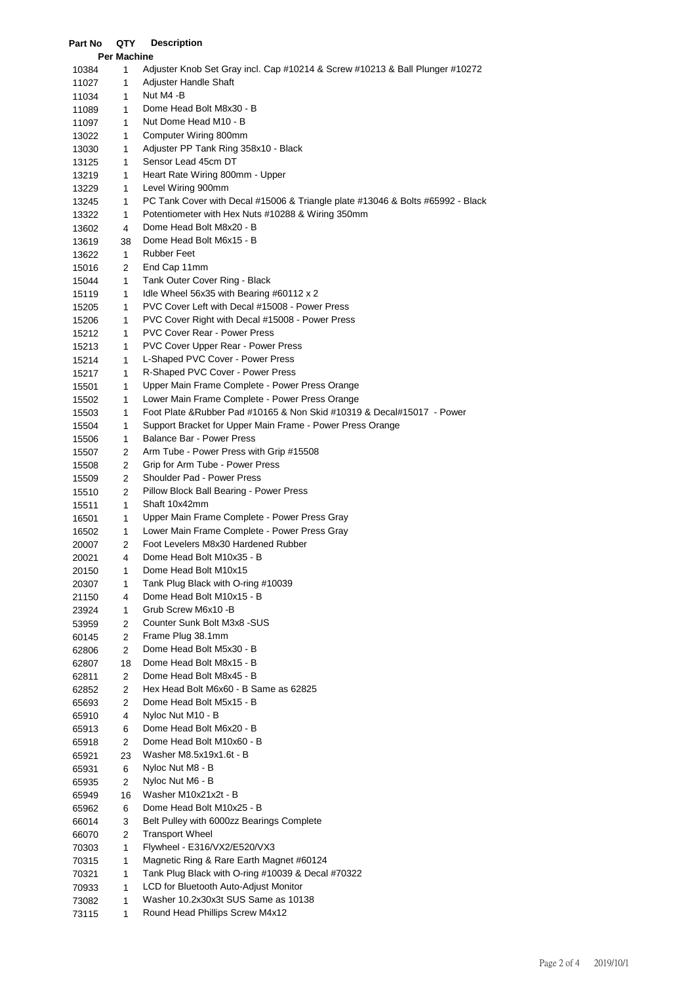| Part No        | QTY                | <b>Description</b>                                                                            |
|----------------|--------------------|-----------------------------------------------------------------------------------------------|
|                | <b>Per Machine</b> |                                                                                               |
| 10384          | 1                  | Adjuster Knob Set Gray incl. Cap #10214 & Screw #10213 & Ball Plunger #10272                  |
| 11027          | 1                  | Adjuster Handle Shaft                                                                         |
| 11034          | 1                  | Nut M4 -B                                                                                     |
| 11089          | 1                  | Dome Head Bolt M8x30 - B                                                                      |
| 11097          | 1                  | Nut Dome Head M10 - B                                                                         |
| 13022          | 1                  | Computer Wiring 800mm                                                                         |
| 13030          | 1                  | Adjuster PP Tank Ring 358x10 - Black                                                          |
| 13125          | 1                  | Sensor Lead 45cm DT                                                                           |
| 13219          | 1                  | Heart Rate Wiring 800mm - Upper                                                               |
| 13229          | 1                  | Level Wiring 900mm                                                                            |
| 13245          | 1                  | PC Tank Cover with Decal #15006 & Triangle plate #13046 & Bolts #65992 - Black                |
| 13322          | 1                  | Potentiometer with Hex Nuts #10288 & Wiring 350mm                                             |
| 13602          | 4                  | Dome Head Bolt M8x20 - B                                                                      |
| 13619          | 38                 | Dome Head Bolt M6x15 - B                                                                      |
| 13622          | $\mathbf{1}$       | <b>Rubber Feet</b>                                                                            |
| 15016          | 2                  | End Cap 11mm                                                                                  |
| 15044          | 1                  | Tank Outer Cover Ring - Black                                                                 |
| 15119          | 1                  | Idle Wheel 56x35 with Bearing $\#60112 \times 2$                                              |
| 15205          | 1                  | PVC Cover Left with Decal #15008 - Power Press                                                |
| 15206          | 1                  | PVC Cover Right with Decal #15008 - Power Press<br><b>PVC Cover Rear - Power Press</b>        |
| 15212<br>15213 | 1                  | <b>PVC Cover Upper Rear - Power Press</b>                                                     |
|                | 1                  | L-Shaped PVC Cover - Power Press                                                              |
| 15214          | 1                  | R-Shaped PVC Cover - Power Press                                                              |
| 15217          | 1<br>1             | Upper Main Frame Complete - Power Press Orange                                                |
| 15501<br>15502 | 1                  | Lower Main Frame Complete - Power Press Orange                                                |
| 15503          | 1                  | Foot Plate & Rubber Pad #10165 & Non Skid #10319 & Decal#15017 - Power                        |
| 15504          | 1                  | Support Bracket for Upper Main Frame - Power Press Orange                                     |
| 15506          | 1                  | <b>Balance Bar - Power Press</b>                                                              |
| 15507          | 2                  | Arm Tube - Power Press with Grip #15508                                                       |
| 15508          | 2                  | Grip for Arm Tube - Power Press                                                               |
| 15509          | 2                  | Shoulder Pad - Power Press                                                                    |
| 15510          | 2                  | Pillow Block Ball Bearing - Power Press                                                       |
| 15511          | 1                  | Shaft 10x42mm                                                                                 |
| 16501          | 1                  | Upper Main Frame Complete - Power Press Gray                                                  |
| 16502          | 1                  | Lower Main Frame Complete - Power Press Gray                                                  |
| 20007          | 2                  | Foot Levelers M8x30 Hardened Rubber                                                           |
| 20021          | 4                  | Dome Head Bolt M10x35 - B                                                                     |
| 20150          | 1                  | Dome Head Bolt M10x15                                                                         |
| 20307          | 1                  | Tank Plug Black with O-ring #10039                                                            |
| 21150          | 4                  | Dome Head Bolt M10x15 - B                                                                     |
| 23924          | 1                  | Grub Screw M6x10 -B                                                                           |
| 53959          | 2                  | Counter Sunk Bolt M3x8 -SUS                                                                   |
| 60145          | 2                  | Frame Plug 38.1mm                                                                             |
| 62806          | 2                  | Dome Head Bolt M5x30 - B                                                                      |
| 62807          | 18                 | Dome Head Bolt M8x15 - B                                                                      |
| 62811          | 2                  | Dome Head Bolt M8x45 - B                                                                      |
| 62852          | 2                  | Hex Head Bolt M6x60 - B Same as 62825                                                         |
| 65693          | 2                  | Dome Head Bolt M5x15 - B                                                                      |
| 65910          | 4                  | Nyloc Nut M10 - B                                                                             |
| 65913          | 6                  | Dome Head Bolt M6x20 - B                                                                      |
| 65918          | 2                  | Dome Head Bolt M10x60 - B                                                                     |
| 65921          | 23                 | Washer M8.5x19x1.6t - B                                                                       |
| 65931          | 6                  | Nyloc Nut M8 - B                                                                              |
| 65935          | $\overline{2}$     | Nyloc Nut M6 - B                                                                              |
| 65949          | 16                 | Washer M10x21x2t - B                                                                          |
| 65962          | 6                  | Dome Head Bolt M10x25 - B                                                                     |
| 66014          | 3                  | Belt Pulley with 6000zz Bearings Complete                                                     |
| 66070          | 2                  | <b>Transport Wheel</b>                                                                        |
| 70303          | 1                  | Flywheel - E316/VX2/E520/VX3                                                                  |
| 70315          | 1                  | Magnetic Ring & Rare Earth Magnet #60124<br>Tank Plug Black with O-ring #10039 & Decal #70322 |
| 70321          | $\mathbf{1}$<br>1  | LCD for Bluetooth Auto-Adjust Monitor                                                         |
| 70933<br>73082 | 1                  | Washer 10.2x30x3t SUS Same as 10138                                                           |
| 73115          | 1                  | Round Head Phillips Screw M4x12                                                               |
|                |                    |                                                                                               |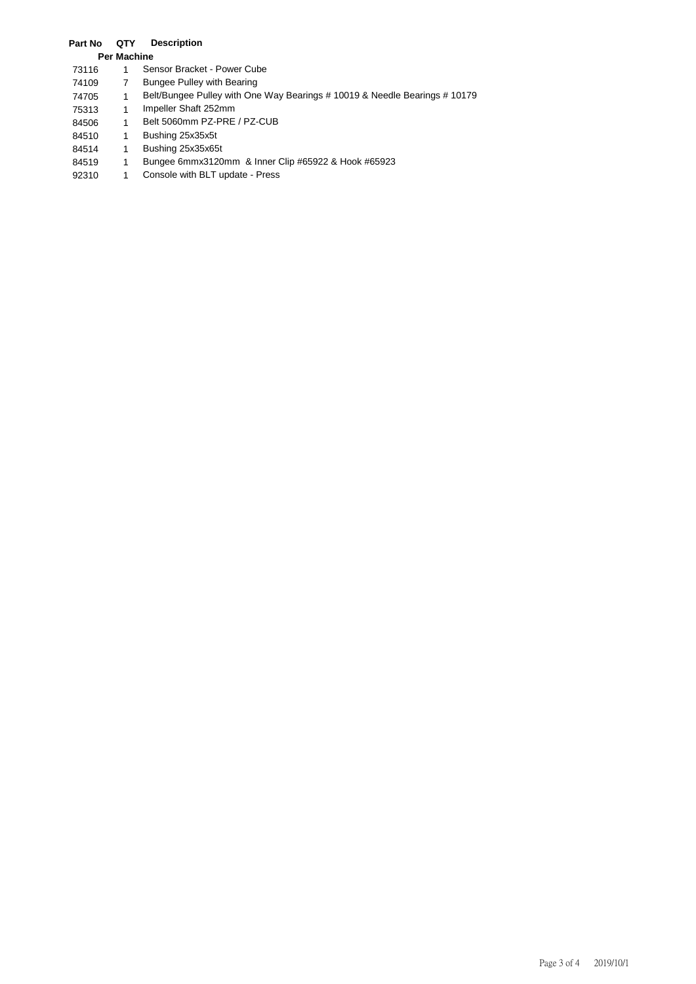## **Part No QTY Description**

## **Per Machine**

- 73116 1 Sensor Bracket Power Cube
- 74109 7 Bungee Pulley with Bearing
- 74705 1 Belt/Bungee Pulley with One Way Bearings # 10019 & Needle Bearings # 10179
- 75313 1 Impeller Shaft 252mm
- 84506 1 Belt 5060mm PZ-PRE / PZ-CUB
- 84510 1 Bushing 25x35x5t
- 84514 1 Bushing 25x35x65t
- 84519 1 Bungee 6mmx3120mm & Inner Clip #65922 & Hook #65923
- 92310 1 Console with BLT update Press